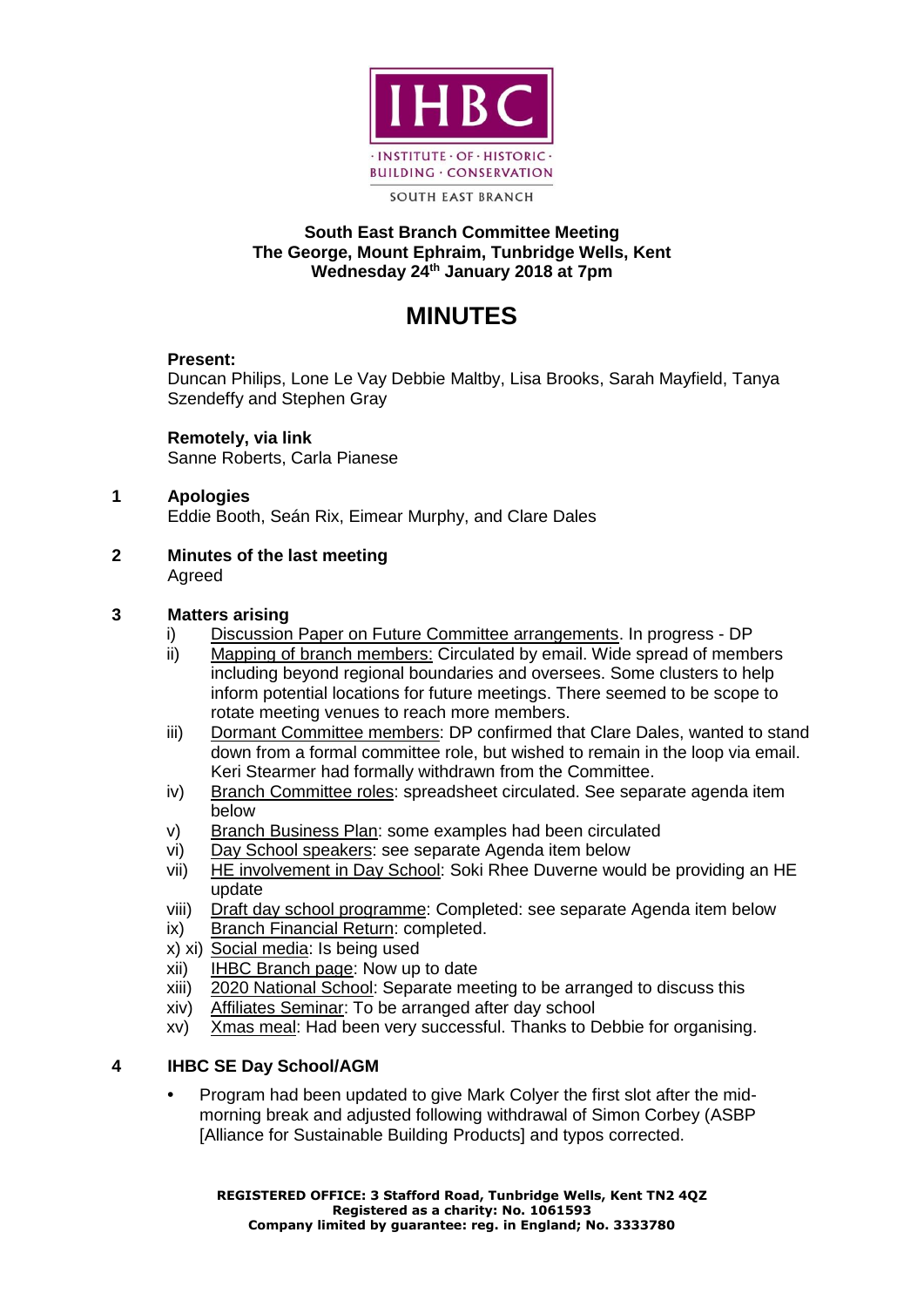

**SOUTH EAST BRANCH** 

# **South East Branch Committee Meeting The George, Mount Ephraim, Tunbridge Wells, Kent Wednesday 24th January 2018 at 7pm**

# **MINUTES**

# **Present:**

Duncan Philips, Lone Le Vay Debbie Maltby, Lisa Brooks, Sarah Mayfield, Tanya Szendeffy and Stephen Gray

**Remotely, via link** Sanne Roberts, Carla Pianese

#### **1 Apologies**  Eddie Booth, Seán Rix, Eimear Murphy, and Clare Dales

**2 Minutes of the last meeting**  Agreed

# **3 Matters arising**

- i) Discussion Paper on Future Committee arrangements. In progress DP
- ii) Mapping of branch members: Circulated by email. Wide spread of members including beyond regional boundaries and oversees. Some clusters to help inform potential locations for future meetings. There seemed to be scope to rotate meeting venues to reach more members.
- iii) Dormant Committee members: DP confirmed that Clare Dales, wanted to stand down from a formal committee role, but wished to remain in the loop via email. Keri Stearmer had formally withdrawn from the Committee.
- iv) Branch Committee roles: spreadsheet circulated. See separate agenda item below
- v) Branch Business Plan: some examples had been circulated
- vi) Day School speakers: see separate Agenda item below
- vii) HE involvement in Day School: Soki Rhee Duverne would be providing an HE update
- viii) Draft day school programme: Completed: see separate Agenda item below
- ix) Branch Financial Return: completed.
- x) xi) Social media: Is being used
- xii) IHBC Branch page: Now up to date
- xiii) 2020 National School: Separate meeting to be arranged to discuss this
- xiv) Affiliates Seminar: To be arranged after day school
- xv) Xmas meal: Had been very successful. Thanks to Debbie for organising.

# **4 IHBC SE Day School/AGM**

**•** Program had been updated to give Mark Colyer the first slot after the midmorning break and adjusted following withdrawal of Simon Corbey (ASBP [Alliance for Sustainable Building Products] and typos corrected.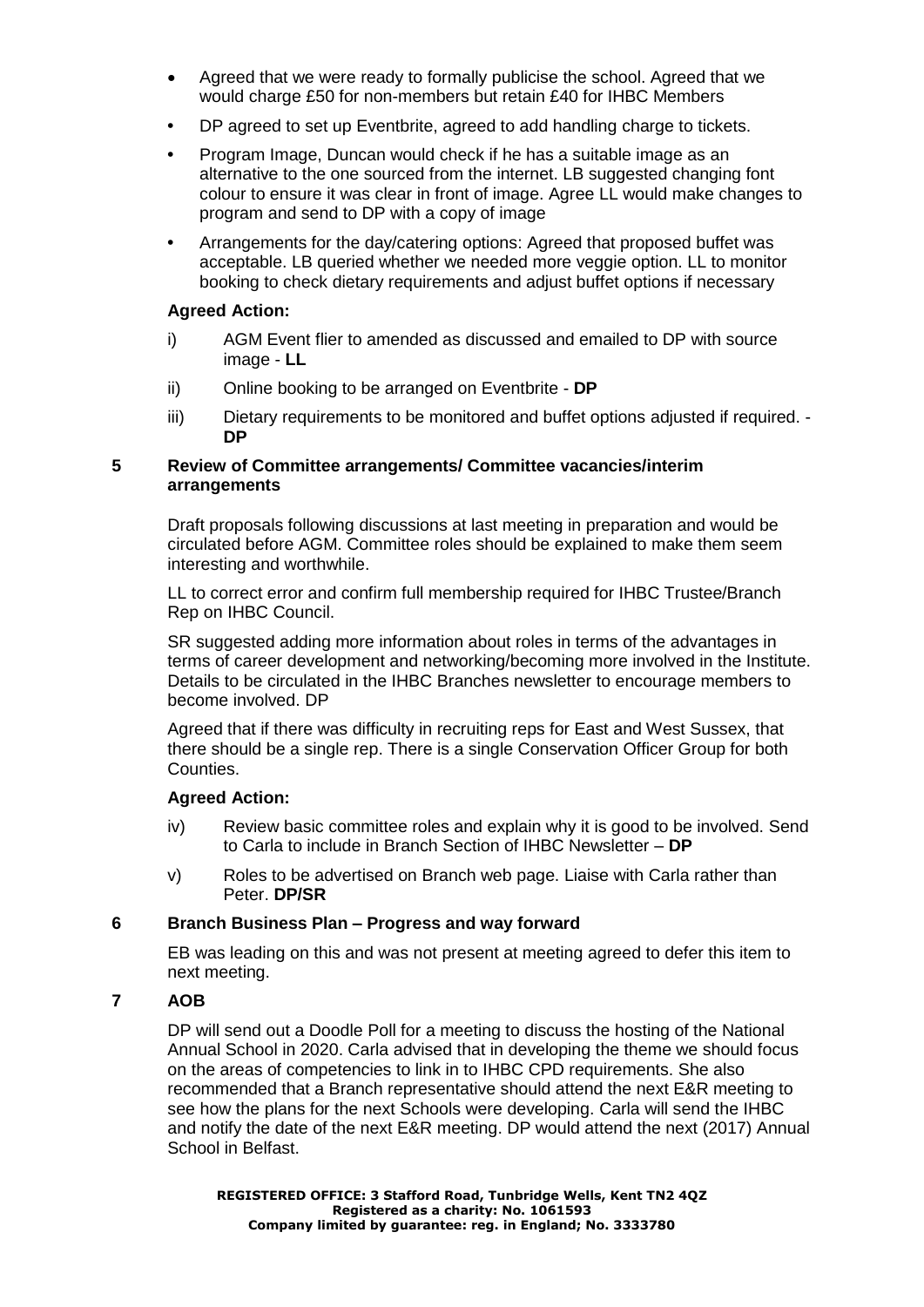- Agreed that we were ready to formally publicise the school. Agreed that we would charge £50 for non-members but retain £40 for IHBC Members
- **•** DP agreed to set up Eventbrite, agreed to add handling charge to tickets.
- **•** Program Image, Duncan would check if he has a suitable image as an alternative to the one sourced from the internet. LB suggested changing font colour to ensure it was clear in front of image. Agree LL would make changes to program and send to DP with a copy of image
- **•** Arrangements for the day/catering options: Agreed that proposed buffet was acceptable. LB queried whether we needed more veggie option. LL to monitor booking to check dietary requirements and adjust buffet options if necessary

#### **Agreed Action:**

- i) AGM Event flier to amended as discussed and emailed to DP with source image - **LL**
- ii) Online booking to be arranged on Eventbrite **DP**
- iii) Dietary requirements to be monitored and buffet options adjusted if required. **DP**

#### **5 Review of Committee arrangements/ Committee vacancies/interim arrangements**

Draft proposals following discussions at last meeting in preparation and would be circulated before AGM. Committee roles should be explained to make them seem interesting and worthwhile.

LL to correct error and confirm full membership required for IHBC Trustee/Branch Rep on IHBC Council.

SR suggested adding more information about roles in terms of the advantages in terms of career development and networking/becoming more involved in the Institute. Details to be circulated in the IHBC Branches newsletter to encourage members to become involved. DP

Agreed that if there was difficulty in recruiting reps for East and West Sussex, that there should be a single rep. There is a single Conservation Officer Group for both Counties.

## **Agreed Action:**

- iv) Review basic committee roles and explain why it is good to be involved. Send to Carla to include in Branch Section of IHBC Newsletter – **DP**
- v) Roles to be advertised on Branch web page. Liaise with Carla rather than Peter. **DP/SR**

## **6 Branch Business Plan – Progress and way forward**

EB was leading on this and was not present at meeting agreed to defer this item to next meeting.

## **7 AOB**

DP will send out a Doodle Poll for a meeting to discuss the hosting of the National Annual School in 2020. Carla advised that in developing the theme we should focus on the areas of competencies to link in to IHBC CPD requirements. She also recommended that a Branch representative should attend the next E&R meeting to see how the plans for the next Schools were developing. Carla will send the IHBC and notify the date of the next E&R meeting. DP would attend the next (2017) Annual School in Belfast.